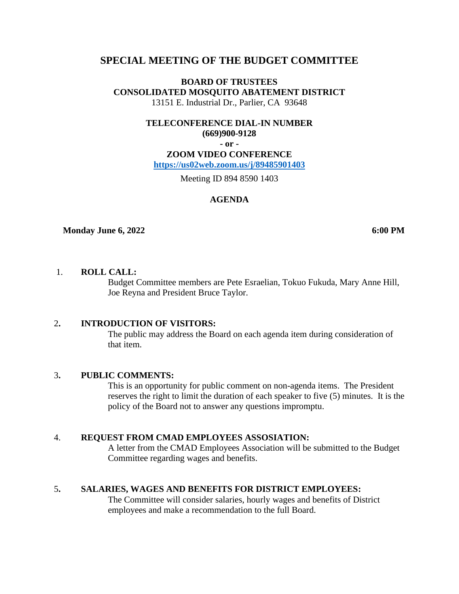# **SPECIAL MEETING OF THE BUDGET COMMITTEE**

**BOARD OF TRUSTEES CONSOLIDATED MOSQUITO ABATEMENT DISTRICT** 13151 E. Industrial Dr., Parlier, CA 93648

> **TELECONFERENCE DIAL-IN NUMBER (669)900-9128**

> > **- or -**

**ZOOM VIDEO CONFERENCE <https://us02web.zoom.us/j/89485901403>**

Meeting ID 894 8590 1403

### **AGENDA**

#### **Monday June 6, 2022 6:00 PM**

## 1. **ROLL CALL:**

Budget Committee members are Pete Esraelian, Tokuo Fukuda, Mary Anne Hill, Joe Reyna and President Bruce Taylor.

#### 2**. INTRODUCTION OF VISITORS:**

The public may address the Board on each agenda item during consideration of that item.

#### 3**. PUBLIC COMMENTS:**

This is an opportunity for public comment on non-agenda items. The President reserves the right to limit the duration of each speaker to five (5) minutes. It is the policy of the Board not to answer any questions impromptu.

#### 4. **REQUEST FROM CMAD EMPLOYEES ASSOSIATION:**

A letter from the CMAD Employees Association will be submitted to the Budget Committee regarding wages and benefits.

#### 5**. SALARIES, WAGES AND BENEFITS FOR DISTRICT EMPLOYEES:**

The Committee will consider salaries, hourly wages and benefits of District employees and make a recommendation to the full Board.